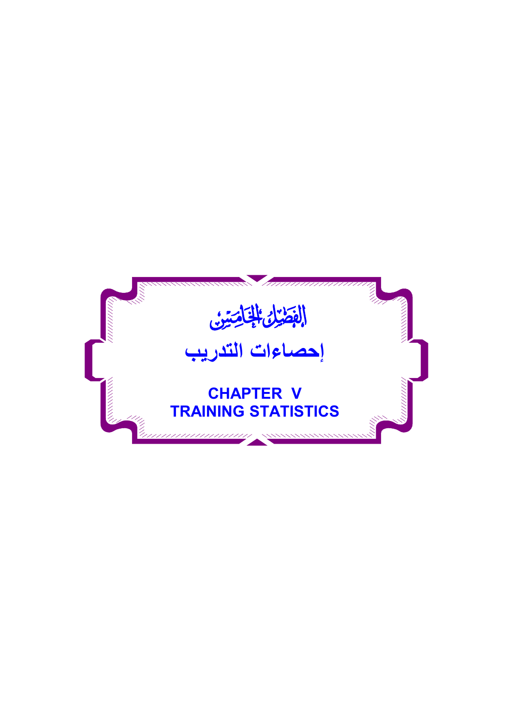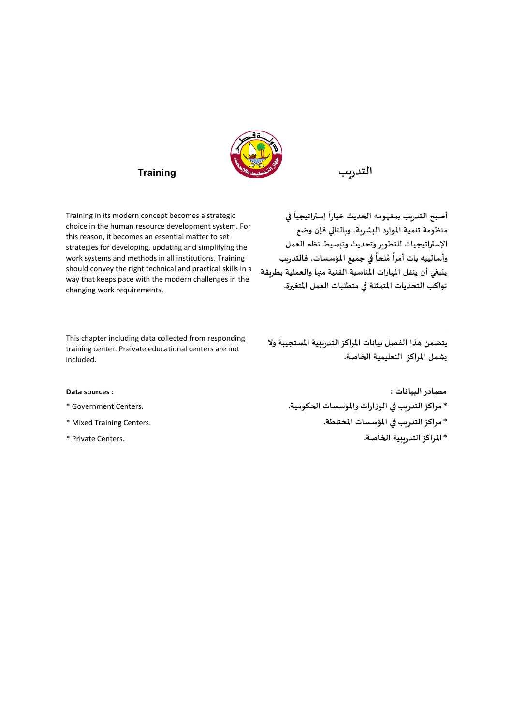

Training in its modern concept becomes a strategic choice in the human resource development system. For this reason, it becomes an essential matter to set strategies for developing, updating and simplifying the work systems and methods in all institutions. Training should convey the right technical and practical skills in a way that keeps pace with the modern challenges in the changing work requirements.

**ً ࡩي إسراتيجيا أصبح التدريب بمفهومه الحديث خيارا ًمنظومة تنمية املوارد البشرية، وبالتاڲي فإن وضع اإلسراتيجيات للتطويروتحديث وتبسيط نظم العمل ً ࡩي جميع املؤسسات، فالتدريب لحا م وأساليبه بات أمرا ًُينبڧي أن ينقل املهارات املناسبة الفنية مٔڈا والعملية بطريقة تواكب التحديات املتمثلة ࡩي متطلبات العمل املتغ؈رة.**

This chapter including data collected from responding training center. Praivate educational centers are not included.

**يتضمن هذا الفصل بيانات املراكزالتدريبية املستجيبة وال يشمل املراكز التعليمية الخاصة.**

- 
- 
- 

**Data sources : : مصادرالبيانات \*مراكزالتدريب ࡩي الوزارات واملؤسسات الحكومية.** .Centers Government\* **\*مراكزالتدريب ࡩي املؤسسات املختلطة.** .Centers Training Mixed\* **\*املراكزالتدريبية الخاصة.** .Centers Private\*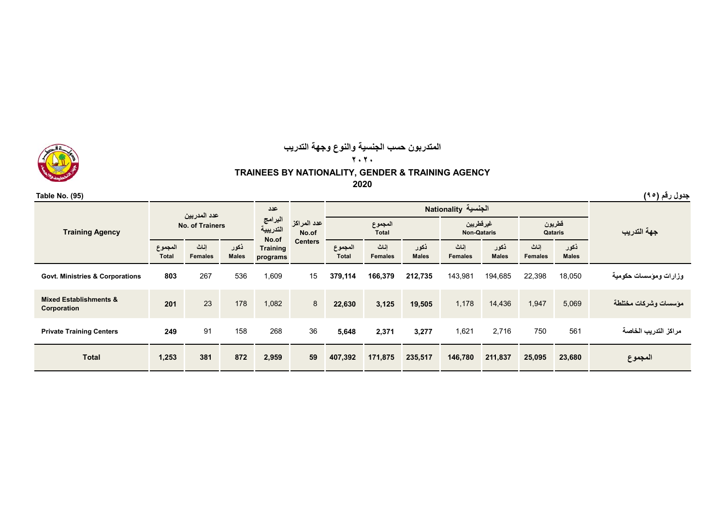# **المتدربون حسب الجنسية والنوع وجھة التدريب**

**٢٠٢٠**

**TRAINEES BY NATIONALITY, GENDER & TRAINING AGENCY**

**2020**

**ذكور Malesإناث Femalesذكور Malesإناث Femalesذكور Malesإناث Femalesالمجموع Totalذكور Males إناث Females المجموع Totalوزارات ومؤسسات حكومية** 18,050 22,398 194,685 143,981 **212,735 166,379 379,114** <sup>15</sup> 1,609 <sup>536</sup> <sup>267</sup> **<sup>803</sup> Corporations & Ministries .Govt Corporation & Establishments Mixed مؤسسات وشركات مختلطة** 5,069 1,947 14,436 1,178 **19,505 3,125 22,630** <sup>8</sup> 1,082 <sup>178</sup> <sup>23</sup> **<sup>201</sup> مراكز التدريب الخاصة** <sup>561</sup> <sup>750</sup> 2,716 1,621 **3,277 2,371 5,648** <sup>36</sup> <sup>268</sup> <sup>158</sup> <sup>91</sup> **<sup>249</sup> Centers Training Private المجموع 23,680 25,095 211,837 146,780 235,517 171,875 407,392 <sup>59</sup> 2,959 <sup>872</sup> <sup>381</sup> 1,253 Total المجموع Total عدد المدربين الجنسية Nationality No. of Trainersعدد المراكز No.of Centers عددالبرامج التدريبية No.of Training programs Training Agency جھة التدريب قطريون Qataris غيرقطريين Non-Qataris**

**جدول رقم (<sup>٩٥</sup>) (95) .No Table**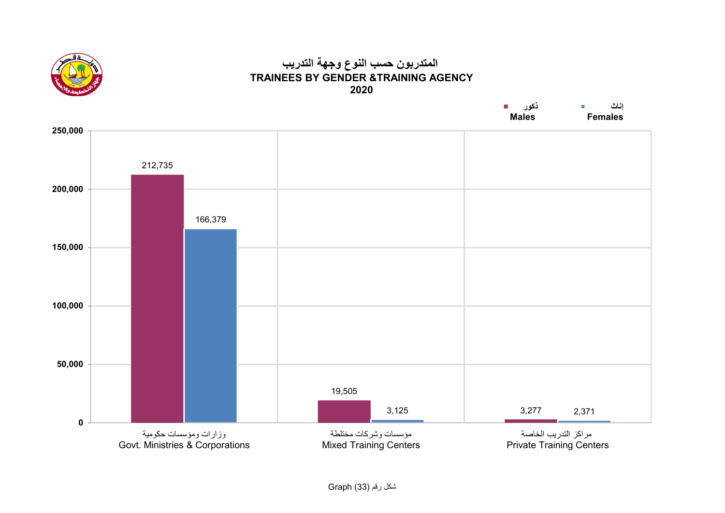

## **المتدربون حسب النوع وجھة التدريب TRAINEES BY GENDER &TRAINING AGENCY2020**

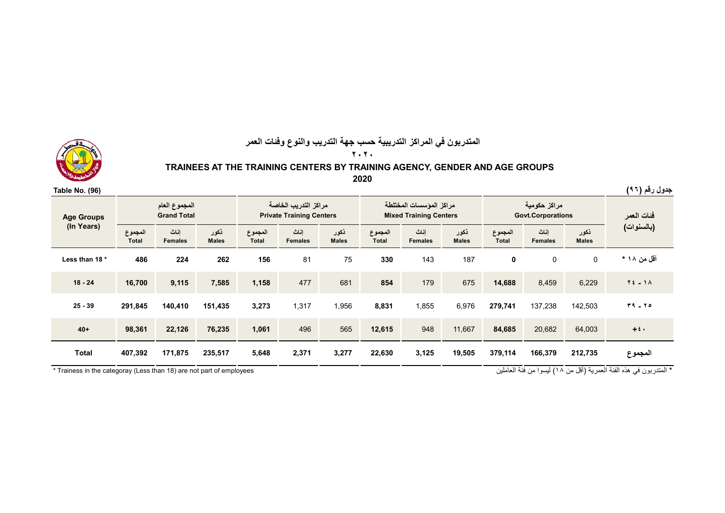

## **المتدربون في المراكز التدريبية حسب جھة التدريب والنوع وفئات العمر**

**٢٠٢٠**

#### **TRAINEES AT THE TRAINING CENTERS BY TRAINING AGENCY, GENDER AND AGE GROUPS**

**2020**

| Table No. (96)    |                         |                                     |                      |                         |                                                         |                      |                         |                                                          |                      |                         |                                          |                      | جدول رقم (٩٦)                     |
|-------------------|-------------------------|-------------------------------------|----------------------|-------------------------|---------------------------------------------------------|----------------------|-------------------------|----------------------------------------------------------|----------------------|-------------------------|------------------------------------------|----------------------|-----------------------------------|
| <b>Age Groups</b> |                         | المجموع العام<br><b>Grand Total</b> |                      |                         | مراكز التدريب الخاصة<br><b>Private Training Centers</b> |                      |                         | مراكز المؤسسات المختلطة<br><b>Mixed Training Centers</b> |                      |                         | مراكز حكومية<br><b>Govt.Corporations</b> | فئات العمر           |                                   |
| (In Years)        | المجموع<br><b>Total</b> | اناث<br><b>Females</b>              | ذكور<br><b>Males</b> | المجموع<br><b>Total</b> | اناث<br><b>Females</b>                                  | ذكور<br><b>Males</b> | المجموع<br><b>Total</b> | اناث<br><b>Females</b>                                   | ذكور<br><b>Males</b> | المجموع<br><b>Total</b> | إناث<br><b>Females</b>                   | ذكور<br><b>Males</b> | (بالسنوات)                        |
| Less than 18 *    | 486                     | 224                                 | 262                  | 156                     | 81                                                      | 75                   | 330                     | 143                                                      | 187                  | 0                       | 0                                        | $\mathsf{O}$         | أقل من ۱۸ *                       |
| $18 - 24$         | 16,700                  | 9,115                               | 7,585                | 1,158                   | 477                                                     | 681                  | 854                     | 179                                                      | 675                  | 14,688                  | 8,459                                    | 6,229                | $Y_{\epsilon}$ $\sim$ 1 $\Lambda$ |
| $25 - 39$         | 291,845                 | 140,410                             | 151,435              | 3,273                   | 1,317                                                   | 1,956                | 8,831                   | 1,855                                                    | 6,976                | 279,741                 | 137,238                                  | 142,503              | $T9 - 70$                         |
| $40+$             | 98,361                  | 22,126                              | 76,235               | 1,061                   | 496                                                     | 565                  | 12,615                  | 948                                                      | 11,667               | 84,685                  | 20,682                                   | 64,003               | $+5$ .                            |
| <b>Total</b>      | 407,392                 | 171,875                             | 235,517              | 5,648                   | 2,371                                                   | 3,277                | 22,630                  | 3,125                                                    | 19,505               | 379,114                 | 166,379                                  | 212,735              | المجموع                           |

\* المتدربون في هذه الفئة العمرية (أقل من ١٨) ليسوا من فئة العاملين employees و trainess in the categoray (Less than 18) are not part of employees \* المتدربون في هذه الفئة العمرية (أقل من ١٨) ليسوا من فئة العاملين لسبب الم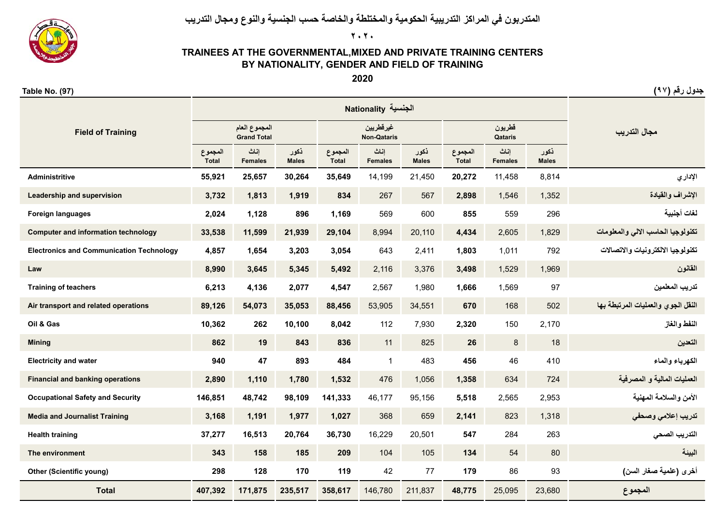**المتدربون في المراكز التدريبية الحكومية والمختلطة والخاصة حسب الجنسية والنوع ومجال التدريب**

**٢٠٢٠**

### **TRAINEES AT THE GOVERNMENTAL,MIXED AND PRIVATE TRAINING CENTERS BY NATIONALITY, GENDER AND FIELD OF TRAINING**

**2020**

| <b>Field of Training</b>                        |                         | المجموع العام<br><b>Grand Total</b> |                      |                         | غيرقطريين<br><b>Non-Qataris</b> |                      |                         | قطريون<br>Qataris      |                      | مجال التدريب                       |
|-------------------------------------------------|-------------------------|-------------------------------------|----------------------|-------------------------|---------------------------------|----------------------|-------------------------|------------------------|----------------------|------------------------------------|
|                                                 | المجموع<br><b>Total</b> | إناث<br><b>Females</b>              | ذكور<br><b>Males</b> | المجموع<br><b>Total</b> | إناث<br><b>Females</b>          | ذكور<br><b>Males</b> | المجموع<br><b>Total</b> | إناث<br><b>Females</b> | ذكور<br><b>Males</b> |                                    |
| <b>Administritive</b>                           | 55,921                  | 25,657                              | 30,264               | 35,649                  | 14,199                          | 21,450               | 20,272                  | 11,458                 | 8,814                | الإداري                            |
| Leadership and supervision                      | 3,732                   | 1,813                               | 1,919                | 834                     | 267                             | 567                  | 2,898                   | 1,546                  | 1,352                | الاشراف والقيادة                   |
| <b>Foreign languages</b>                        | 2,024                   | 1,128                               | 896                  | 1,169                   | 569                             | 600                  | 855                     | 559                    | 296                  | لغات أجنبية                        |
| <b>Computer and information technology</b>      | 33,538                  | 11,599                              | 21,939               | 29,104                  | 8,994                           | 20,110               | 4,434                   | 2,605                  | 1,829                | تكنولوجيا الحاسب الالى والمعلومات  |
| <b>Electronics and Communication Technology</b> | 4,857                   | 1,654                               | 3,203                | 3,054                   | 643                             | 2,411                | 1,803                   | 1,011                  | 792                  | تكنولوجيا الالكتر ونيات والاتصالات |
| Law                                             | 8,990                   | 3,645                               | 5,345                | 5,492                   | 2,116                           | 3,376                | 3,498                   | 1,529                  | 1,969                | القانون                            |
| <b>Training of teachers</b>                     | 6,213                   | 4,136                               | 2,077                | 4,547                   | 2,567                           | 1,980                | 1,666                   | 1,569                  | 97                   | تدريب المعلمين                     |
| Air transport and related operations            | 89,126                  | 54,073                              | 35,053               | 88,456                  | 53,905                          | 34,551               | 670                     | 168                    | 502                  | النقل الجوى والعمليات المرتبطة بها |
| Oil & Gas                                       | 10,362                  | 262                                 | 10,100               | 8,042                   | 112                             | 7,930                | 2,320                   | 150                    | 2,170                | النفط والغاز                       |
| <b>Mining</b>                                   | 862                     | 19                                  | 843                  | 836                     | 11                              | 825                  | 26                      | 8                      | 18                   | التعدين                            |
| <b>Electricity and water</b>                    | 940                     | 47                                  | 893                  | 484                     | $\mathbf{1}$                    | 483                  | 456                     | 46                     | 410                  | الكهرباء والماء                    |
| <b>Financial and banking operations</b>         | 2,890                   | 1,110                               | 1,780                | 1,532                   | 476                             | 1,056                | 1,358                   | 634                    | 724                  | العمليات المالية و المصرفية        |
| <b>Occupational Safety and Security</b>         | 146,851                 | 48,742                              | 98,109               | 141,333                 | 46,177                          | 95,156               | 5,518                   | 2,565                  | 2,953                | الأمن والسلامة المهنية             |
| <b>Media and Journalist Training</b>            | 3,168                   | 1,191                               | 1,977                | 1,027                   | 368                             | 659                  | 2,141                   | 823                    | 1,318                | تدريب إعلامي وصحفي                 |
| <b>Health training</b>                          | 37,277                  | 16,513                              | 20,764               | 36,730                  | 16,229                          | 20,501               | 547                     | 284                    | 263                  | التدريب الصحى                      |
| The environment                                 | 343                     | 158                                 | 185                  | 209                     | 104                             | 105                  | 134                     | 54                     | 80                   | البيئة                             |
| <b>Other (Scientific young)</b>                 | 298                     | 128                                 | 170                  | 119                     | 42                              | 77                   | 179                     | 86                     | 93                   | أخرى (علمية صغار السن)             |
| <b>Total</b>                                    | 407,392                 | 171,875                             | 235,517              | 358,617                 | 146,780                         | 211,837              | 48,775                  | 25,095                 | 23,680               | المجموع                            |



**جدول رقم (<sup>٩٧</sup>) (97) .No Table**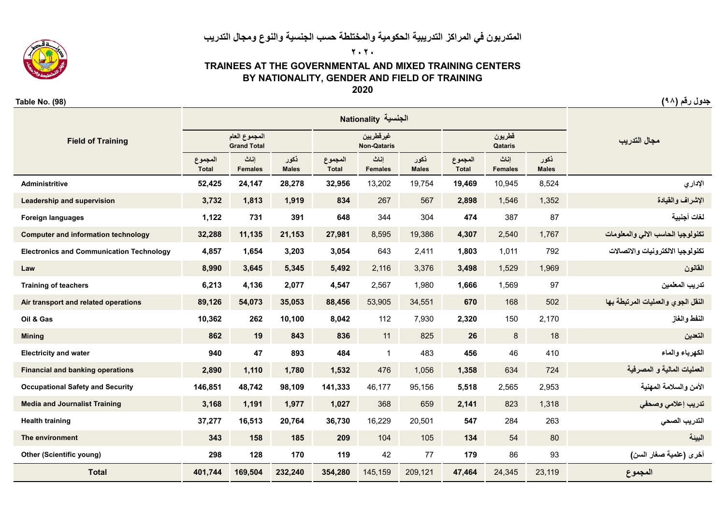## **المتدربون في المراكز التدريبية الحكومية والمختلطة حسب الجنسية والنوع ومجال التدريب ٢٠٢٠**



### **TRAINEES AT THE GOVERNMENTAL AND MIXED TRAINING CENTERS BY NATIONALITY, GENDER AND FIELD OF TRAINING**

**2020**

**جدول رقم (<sup>٩٨</sup>) (98) .No Table**

| <b>Field of Training</b>                        |                         | المجموع العام<br><b>Grand Total</b> |                      |                         | غيرقطريين<br><b>Non-Qataris</b> |                      |                  | قطريون<br>Qataris      |                      | مجال التدريب                       |
|-------------------------------------------------|-------------------------|-------------------------------------|----------------------|-------------------------|---------------------------------|----------------------|------------------|------------------------|----------------------|------------------------------------|
|                                                 | المجموع<br><b>Total</b> | إناث<br><b>Females</b>              | ذكور<br><b>Males</b> | المجموع<br><b>Total</b> | إناث<br><b>Females</b>          | ذكور<br><b>Males</b> | المجموع<br>Total | اناث<br><b>Females</b> | ذكور<br><b>Males</b> |                                    |
| <b>Administritive</b>                           | 52,425                  | 24,147                              | 28,278               | 32,956                  | 13,202                          | 19,754               | 19,469           | 10,945                 | 8,524                | الإداري                            |
| Leadership and supervision                      | 3,732                   | 1,813                               | 1,919                | 834                     | 267                             | 567                  | 2,898            | 1,546                  | 1,352                | الإشراف والقيادة                   |
| <b>Foreign languages</b>                        | 1,122                   | 731                                 | 391                  | 648                     | 344                             | 304                  | 474              | 387                    | 87                   | لغات أجنبية                        |
| <b>Computer and information technology</b>      | 32,288                  | 11,135                              | 21,153               | 27,981                  | 8,595                           | 19,386               | 4,307            | 2,540                  | 1,767                | تكنولوجيا الحاسب الالى والمعلومات  |
| <b>Electronics and Communication Technology</b> | 4,857                   | 1,654                               | 3,203                | 3,054                   | 643                             | 2,411                | 1,803            | 1,011                  | 792                  | تكنولوجيا الالكتر ونيات والاتصالات |
| Law                                             | 8,990                   | 3,645                               | 5,345                | 5,492                   | 2,116                           | 3,376                | 3,498            | 1,529                  | 1,969                | القانون                            |
| <b>Training of teachers</b>                     | 6,213                   | 4,136                               | 2,077                | 4,547                   | 2,567                           | 1,980                | 1,666            | 1,569                  | 97                   | تدريب المعلمين                     |
| Air transport and related operations            | 89,126                  | 54,073                              | 35,053               | 88,456                  | 53,905                          | 34,551               | 670              | 168                    | 502                  | النقل الجوى والعمليات المرتبطة بها |
| Oil & Gas                                       | 10,362                  | 262                                 | 10,100               | 8,042                   | 112                             | 7,930                | 2,320            | 150                    | 2,170                | النفط والغاز                       |
| <b>Mining</b>                                   | 862                     | 19                                  | 843                  | 836                     | 11                              | 825                  | 26               | $\bf 8$                | 18                   | التعدين                            |
| <b>Electricity and water</b>                    | 940                     | 47                                  | 893                  | 484                     | 1                               | 483                  | 456              | 46                     | 410                  | الكهرباء والماء                    |
| <b>Financial and banking operations</b>         | 2,890                   | 1,110                               | 1,780                | 1,532                   | 476                             | 1,056                | 1,358            | 634                    | 724                  | لعمليات المالية و المصر فية        |
| <b>Occupational Safety and Security</b>         | 146,851                 | 48,742                              | 98,109               | 141,333                 | 46,177                          | 95,156               | 5,518            | 2,565                  | 2,953                | الأمن والسلامة المهنية             |
| <b>Media and Journalist Training</b>            | 3,168                   | 1,191                               | 1,977                | 1,027                   | 368                             | 659                  | 2,141            | 823                    | 1,318                | تدريب إعلامى وصحفى                 |
| <b>Health training</b>                          | 37,277                  | 16,513                              | 20,764               | 36,730                  | 16,229                          | 20,501               | 547              | 284                    | 263                  | التدريب الصحى                      |
| The environment                                 | 343                     | 158                                 | 185                  | 209                     | 104                             | 105                  | 134              | 54                     | 80                   | البيئة                             |
| <b>Other (Scientific young)</b>                 | 298                     | 128                                 | 170                  | 119                     | 42                              | 77                   | 179              | 86                     | 93                   | أخرى (علمية صغار السن)             |
| <b>Total</b>                                    | 401,744                 | 169,504                             | 232,240              | 354,280                 | 145,159                         | 209,121              | 47,464           | 24,345                 | 23,119               | المجموع                            |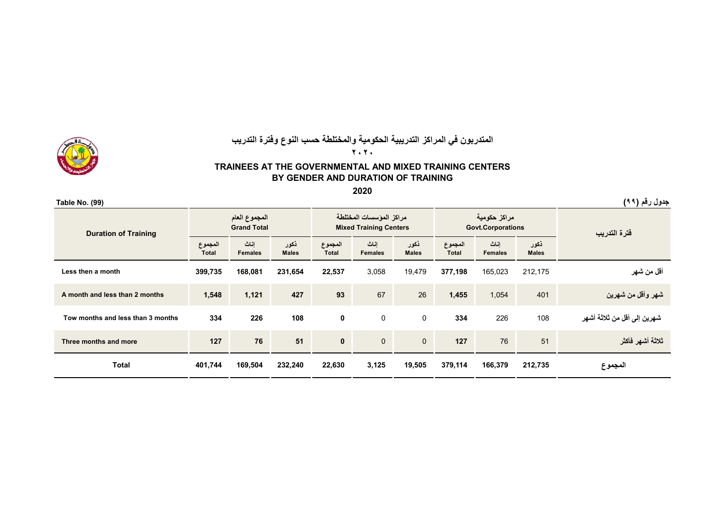

#### **المتدربون في المراكز التدريبية الحكومية والمختلطة حسب النوع وفترة التدريب ٢٠٢٠**

#### **TRAINEES AT THE GOVERNMENTAL AND MIXED TRAINING CENTERS BY GENDER AND DURATION OF TRAINING**

**2020**

| <b>Table No. (99)</b>             |                         |                                     |                      |                         |                                                          |                      |                         |                                          |                      | جدول رقم (٩٩)               |  |
|-----------------------------------|-------------------------|-------------------------------------|----------------------|-------------------------|----------------------------------------------------------|----------------------|-------------------------|------------------------------------------|----------------------|-----------------------------|--|
| <b>Duration of Training</b>       |                         | المجموع العام<br><b>Grand Total</b> |                      |                         | مراكز المؤسسات المختلطة<br><b>Mixed Training Centers</b> |                      |                         | مراكز حكومية<br><b>Govt.Corporations</b> |                      | فترة التدريب                |  |
|                                   | المجموع<br><b>Total</b> | اناث<br><b>Females</b>              | ذكور<br><b>Males</b> | المجموع<br><b>Total</b> | إناث<br><b>Females</b>                                   | ذكور<br><b>Males</b> | المجموع<br><b>Total</b> | إناث<br><b>Females</b>                   | ذكور<br><b>Males</b> |                             |  |
| Less then a month                 | 399,735                 | 168,081                             | 231,654              | 22,537                  | 3,058                                                    | 19,479               | 377,198                 | 165,023                                  | 212,175              | أقل من شهر                  |  |
| A month and less than 2 months    | 1,548                   | 1,121                               | 427                  | 93                      | 67                                                       | 26                   | 1,455                   | 1,054                                    | 401                  | شهر وأقل من شهرين           |  |
| Tow months and less than 3 months | 334                     | 226                                 | 108                  | 0                       | 0                                                        | $\mathbf 0$          | 334                     | 226                                      | 108                  | شهرين إلى أقل من ثلاثة أشهر |  |
| Three months and more             | 127                     | 76                                  | 51                   | $\mathbf{0}$            | $\mathbf{0}$                                             | $\overline{0}$       | 127                     | 76                                       | 51                   | ثلاثة أشهر فأكثر            |  |
| <b>Total</b>                      | 401,744                 | 169,504                             | 232,240              | 22,630                  | 3,125                                                    | 19,505               | 379,114                 | 166,379                                  | 212,735              | المجموع                     |  |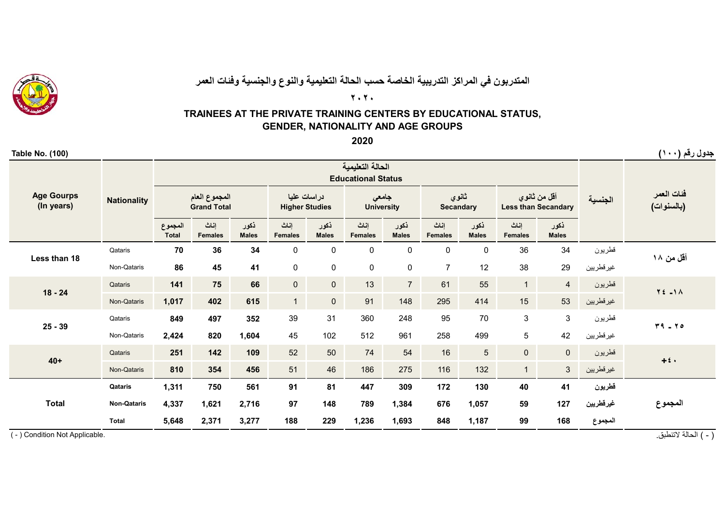

## **المتدربون في المراكز التدريبية الخاصة حسب الحالة التعليمية والنوع والجنسية وفئات العمر**

**٢٠٢٠**

## **TRAINEES AT THE PRIVATE TRAINING CENTERS BY EDUCATIONAL STATUS, GENDER, NATIONALITY AND AGE GROUPS**

**2020**

| <b>Table No. (100)</b>          |                    |                         |                                     |                      |                                      |                      |                            |                      |                           |                      |                                            |                      |            | جدول رقم (۱۰۰)                |
|---------------------------------|--------------------|-------------------------|-------------------------------------|----------------------|--------------------------------------|----------------------|----------------------------|----------------------|---------------------------|----------------------|--------------------------------------------|----------------------|------------|-------------------------------|
|                                 |                    |                         |                                     |                      |                                      |                      |                            |                      |                           |                      |                                            |                      |            |                               |
| <b>Age Gourps</b><br>(In years) | <b>Nationality</b> |                         | المجموع العام<br><b>Grand Total</b> |                      | دراسات عليا<br><b>Higher Studies</b> |                      | جامعى<br><b>University</b> |                      | ثانوي<br><b>Secandary</b> |                      | أقل من ثانوي<br><b>Less than Secandary</b> |                      | الجنسية    | فئات العمر<br>(بالسنوات)      |
|                                 |                    | المجموع<br><b>Total</b> | إناث<br><b>Females</b>              | ذكور<br><b>Males</b> | إناث<br><b>Females</b>               | ذكور<br><b>Males</b> | إناث<br><b>Females</b>     | نكور<br><b>Males</b> | اناث<br><b>Females</b>    | ذكور<br><b>Males</b> | اناث<br><b>Females</b>                     | نكور<br><b>Males</b> |            |                               |
| Less than 18                    | Qataris            | 70                      | 36                                  | 34                   | 0                                    | $\pmb{0}$            | $\pmb{0}$                  | $\pmb{0}$            | $\pmb{0}$                 | $\mathbf 0$          | 36                                         | 34                   | قطريون     | أقل من ۱۸                     |
|                                 | Non-Qataris        | 86                      | 45                                  | 41                   | 0                                    | $\pmb{0}$            | $\pmb{0}$                  | $\pmb{0}$            | $\overline{7}$            | 12                   | 38                                         | 29                   | غير قطريين |                               |
|                                 | Qataris            | 141                     | 75                                  | 66                   | $\pmb{0}$                            | $\mathbf{0}$         | 13                         | $\overline{7}$       | 61                        | 55                   | 1                                          | $\overline{4}$       | قطريون     | $Y \Leftrightarrow -1 \wedge$ |
| $18 - 24$                       | Non-Qataris        | 1,017                   | 402                                 | 615                  | $\mathbf{1}$                         | $\mathbf{0}$         | 91                         | 148                  | 295                       | 414                  | 15                                         | 53                   | غير قطريين |                               |
|                                 | Qataris            | 849                     | 497                                 | 352                  | 39                                   | 31                   | 360                        | 248                  | 95                        | 70                   | $\mathbf{3}$                               | 3                    | قطريون     |                               |
| $25 - 39$                       | Non-Qataris        | 2,424                   | 820                                 | 1,604                | 45                                   | 102                  | 512                        | 961                  | 258                       | 499                  | 5                                          | 42                   | غير قطريين | $19 - 70$                     |
| $40+$                           | Qataris            | 251                     | 142                                 | 109                  | 52                                   | 50                   | 74                         | 54                   | 16                        | $\overline{5}$       | $\overline{0}$                             | $\overline{0}$       | قطريون     |                               |
|                                 | Non-Qataris        | 810                     | 354                                 | 456                  | 51                                   | 46                   | 186                        | 275                  | 116                       | 132                  | $\mathbf{1}$                               | $\mathbf{3}$         | غير قطريين | $+2$ .                        |
|                                 | Qataris            | 1,311                   | 750                                 | 561                  | 91                                   | 81                   | 447                        | 309                  | 172                       | 130                  | 40                                         | 41                   | قطريون     |                               |
| <b>Total</b>                    | <b>Non-Qataris</b> | 4,337                   | 1,621                               | 2,716                | 97                                   | 148                  | 789                        | 1,384                | 676                       | 1,057                | 59                                         | 127                  | غيرقطريين  | المجموع                       |
|                                 | <b>Total</b>       | 5,648                   | 2,371                               | 3,277                | 188                                  | 229                  | 1,236                      | 1,693                | 848                       | 1,187                | 99                                         | 168                  | المجموع    |                               |

( - ) Condition Not Applicable.

( - ) الحالة التنطبق.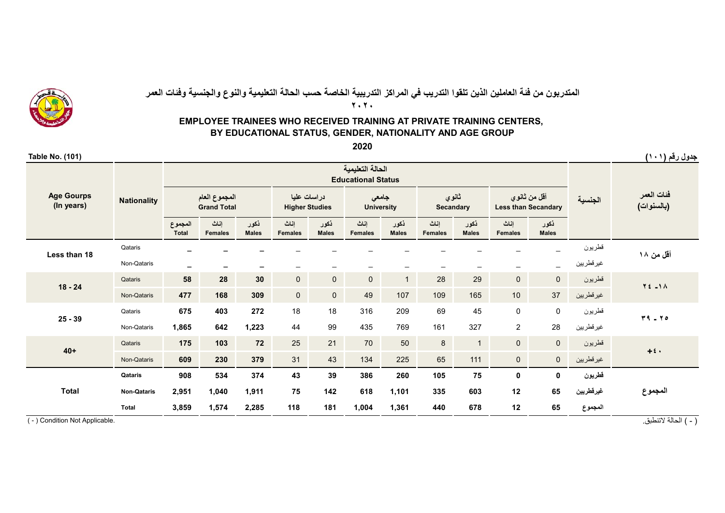

## **٢٠٢٠**المتدربون من فئة العاملين الذين تلقوا التدريب في المراكز التدريبية الخاصة حسب الحالة التعليمية والنوع والجنسية وفئات العمر

### **EMPLOYEE TRAINEES WHO RECEIVED TRAINING AT PRIVATE TRAINING CENTERS, BY EDUCATIONAL STATUS, GENDER, NATIONALITY AND AGE GROUP**

**2020**

| Table No. (101)                 |                    |                         |                                     |                          |                                      |                      |                            |                      |                        |                           |                                            |                      |            | جدول رقم (١٠١)           |
|---------------------------------|--------------------|-------------------------|-------------------------------------|--------------------------|--------------------------------------|----------------------|----------------------------|----------------------|------------------------|---------------------------|--------------------------------------------|----------------------|------------|--------------------------|
|                                 |                    |                         |                                     |                          |                                      |                      |                            |                      |                        |                           |                                            |                      |            |                          |
| <b>Age Gourps</b><br>(In years) | <b>Nationality</b> |                         | المجموع العام<br><b>Grand Total</b> |                          | دراسات عليا<br><b>Higher Studies</b> |                      | جامعي<br><b>University</b> |                      |                        | ثانوي<br><b>Secandary</b> | أقل من ثانوي<br><b>Less than Secandary</b> |                      | الجنسية    | فئات العمر<br>(بالسنوات) |
|                                 |                    | المجموع<br><b>Total</b> | إناث<br><b>Females</b>              | نكور<br><b>Males</b>     | اناث<br><b>Females</b>               | ذكور<br><b>Males</b> | اناث<br><b>Females</b>     | نكور<br><b>Males</b> | اناث<br><b>Females</b> | ذكور<br><b>Males</b>      | اناث<br><b>Females</b>                     | نكور<br><b>Males</b> |            |                          |
| Less than 18                    | Qataris            | -                       |                                     |                          |                                      |                      |                            |                      |                        |                           |                                            |                      | قطريون     | أقل من ۱۸                |
|                                 | Non-Qataris        | $\qquad \qquad =$       | $\overline{\phantom{a}}$            | $\overline{\phantom{a}}$ | $\qquad \qquad \qquad$               |                      |                            |                      |                        |                           | $\qquad \qquad -$                          |                      | غير قطريين |                          |
|                                 | Qataris            | 58                      | 28                                  | 30                       | $\mathsf{O}\xspace$                  | $\overline{0}$       | $\overline{0}$             | $\mathbf{1}$         | 28                     | 29                        | $\mathbf 0$                                | $\overline{0}$       | قطريون     | $Y = -1A$                |
| $18 - 24$                       | Non-Qataris        | 477                     | 168                                 | 309                      | $\mathsf{O}\xspace$                  | $\mathbf{0}$         | 49                         | 107                  | 109                    | 165                       | 10 <sup>1</sup>                            | 37                   | غير قطريين |                          |
|                                 | Qataris            | 675                     | 403                                 | 272                      | 18                                   | 18                   | 316                        | 209                  | 69                     | 45                        | $\mathsf{O}\xspace$                        | 0                    | قطريون     |                          |
| $25 - 39$                       | Non-Qataris        | 1,865                   | 642                                 | 1,223                    | 44                                   | 99                   | 435                        | 769                  | 161                    | 327                       | $\overline{2}$                             | 28                   | غير قطريين | $T9 - Y0$                |
|                                 | Qataris            | 175                     | 103                                 | 72                       | 25                                   | 21                   | 70                         | 50                   | 8                      | $\mathbf{1}$              | $\mathbf{0}$                               | $\overline{0}$       | قطريون     |                          |
| $40+$                           | Non-Qataris        | 609                     | 230                                 | 379                      | 31                                   | 43                   | 134                        | 225                  | 65                     | 111                       | $\mathsf{O}\xspace$                        | $\overline{0}$       | غير قطريين | $+i$                     |
|                                 | Qataris            | 908                     | 534                                 | 374                      | 43                                   | 39                   | 386                        | 260                  | 105                    | 75                        | 0                                          | 0                    | قطريون     |                          |
| <b>Total</b>                    | <b>Non-Qataris</b> | 2,951                   | 1,040                               | 1,911                    | 75                                   | 142                  | 618                        | 1,101                | 335                    | 603                       | 12                                         | 65                   | غيرقطريين  | المجموع                  |
|                                 | <b>Total</b>       | 3,859                   | 1,574                               | 2,285                    | 118                                  | 181                  | 1,004                      | 1,361                | 440                    | 678                       | 12                                         | 65                   | المجموع    |                          |

( - ) Condition Not Applicable.

( - ) الحالة التنطبق.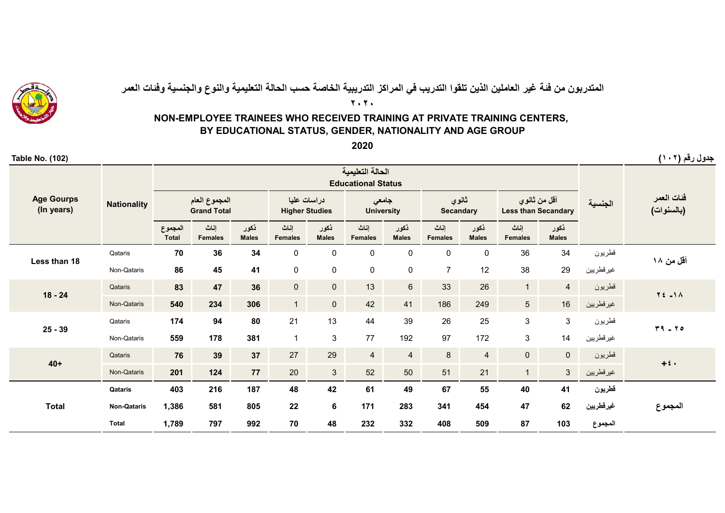

# المتدربون من فئة غير العاملين الذين تلقوا التدريب في المراكز التدريبية الخاصة حسب الحالة التعليمية والنوع والجنسية وفئات العمر

**٢٠٢٠**

### **NON-EMPLOYEE TRAINEES WHO RECEIVED TRAINING AT PRIVATE TRAINING CENTERS, BY EDUCATIONAL STATUS, GENDER, NATIONALITY AND AGE GROUP**

**2020**

| <b>Table No. (102)</b>          |                    |                         |                                     |                      |                        |                                      |                                               |                            |                        |                           |                        |                                            |            | جدول رقم (۱۰۲)           |
|---------------------------------|--------------------|-------------------------|-------------------------------------|----------------------|------------------------|--------------------------------------|-----------------------------------------------|----------------------------|------------------------|---------------------------|------------------------|--------------------------------------------|------------|--------------------------|
|                                 |                    |                         |                                     |                      |                        |                                      | الحالة التعليمية<br><b>Educational Status</b> |                            |                        |                           |                        |                                            |            |                          |
| <b>Age Gourps</b><br>(In years) | <b>Nationality</b> |                         | المجموع العام<br><b>Grand Total</b> |                      |                        | دراسات عليا<br><b>Higher Studies</b> |                                               | جامعى<br><b>University</b> |                        | ثانوي<br><b>Secandary</b> |                        | أقل من ثانوي<br><b>Less than Secandary</b> | الجنسية    | فئات العمر<br>(بالسنوات) |
|                                 |                    | المجموع<br><b>Total</b> | إناث<br><b>Females</b>              | ذكور<br><b>Males</b> | إناث<br><b>Females</b> | نكور<br><b>Males</b>                 | إناث<br><b>Females</b>                        | ذكور<br><b>Males</b>       | إناث<br><b>Females</b> | نكور<br><b>Males</b>      | إناث<br><b>Females</b> | نكور<br><b>Males</b>                       |            |                          |
| Less than 18                    | Qataris            | 70                      | 36                                  | 34                   | 0                      | $\mathbf 0$                          | $\pmb{0}$                                     | $\pmb{0}$                  | 0                      | $\mathbf 0$               | 36                     | 34                                         | قطريون     | أقل من ۱۸                |
|                                 | Non-Qataris        | 86                      | 45                                  | 41                   | $\mathsf 0$            | $\mathsf 0$                          | $\mathsf{O}\xspace$                           | $\pmb{0}$                  | $\overline{7}$         | 12                        | 38                     | 29                                         | غير قطريين |                          |
|                                 | Qataris            | 83                      | 47                                  | 36                   | $\pmb{0}$              | $\mathsf{O}\xspace$                  | 13                                            | $6\phantom{1}$             | 33                     | 26                        | 1                      | $\overline{4}$                             | قطريون     | $Y \nleq -1 \wedge$      |
| $18 - 24$                       | Non-Qataris        | 540                     | 234                                 | 306                  | 1                      | $\mathsf{O}\xspace$                  | 42                                            | 41                         | 186                    | 249                       | $5\overline{)}$        | 16                                         | غير قطريين |                          |
|                                 | Qataris            | 174                     | 94                                  | 80                   | 21                     | 13                                   | 44                                            | 39                         | 26                     | 25                        | $\mathbf{3}$           | $\mathbf{3}$                               | قطريون     | $19 - 70$                |
| $25 - 39$                       | Non-Qataris        | 559                     | 178                                 | 381                  | $\overline{1}$         | $\mathsf 3$                          | 77                                            | 192                        | 97                     | 172                       | $\mathbf{3}$           | 14                                         | غير قطريين |                          |
|                                 | Qataris            | 76                      | 39                                  | 37                   | 27                     | 29                                   | $\overline{4}$                                | $\overline{4}$             | $\bf 8$                | $\overline{\mathbf{4}}$   | $\overline{0}$         | $\mathbf{0}$                               | قطريون     |                          |
| $40+$                           | Non-Qataris        | 201                     | 124                                 | 77                   | 20                     | $\mathbf{3}$                         | 52                                            | 50                         | 51                     | 21                        | $\mathbf{1}$           | 3                                          | غير قطريين | $+2$ .                   |
|                                 | Qataris            | 403                     | 216                                 | 187                  | 48                     | 42                                   | 61                                            | 49                         | 67                     | 55                        | 40                     | 41                                         | قطريون     |                          |
| <b>Total</b>                    | <b>Non-Qataris</b> | 1,386                   | 581                                 | 805                  | 22                     | $6\phantom{a}$                       | 171                                           | 283                        | 341                    | 454                       | 47                     | 62                                         | غيرقطريين  | المجموع                  |
|                                 | <b>Total</b>       | 1,789                   | 797                                 | 992                  | 70                     | 48                                   | 232                                           | 332                        | 408                    | 509                       | 87                     | 103                                        | المجموع    |                          |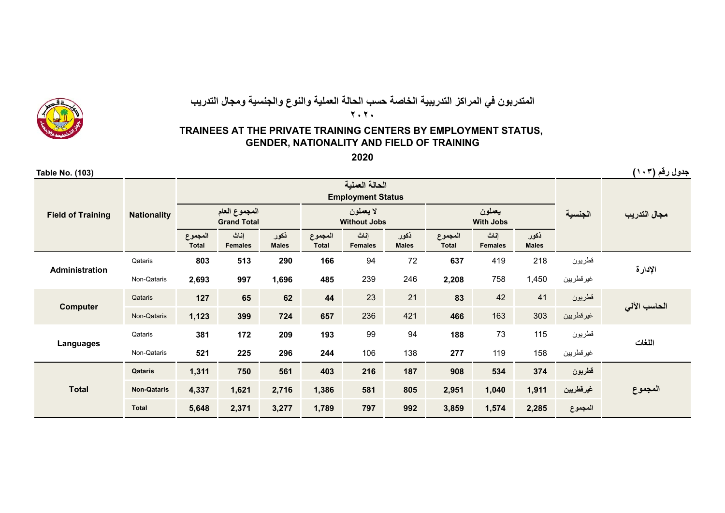

## **المتدربون في المراكز التدريبية الخاصة حسب الحالة العملية والنوع والجنسية ومجال التدريب ٢٠٢٠**

## **TRAINEES AT THE PRIVATE TRAINING CENTERS BY EMPLOYMENT STATUS, GENDER, NATIONALITY AND FIELD OF TRAINING**

**2020**

**جدول رقم (<sup>١٠٣</sup>) (103) .No Table**

|                          |                    |                         |                                     |                      |                         | <b>Employment Status</b>         |                      |                         |                            |                      |            |              |
|--------------------------|--------------------|-------------------------|-------------------------------------|----------------------|-------------------------|----------------------------------|----------------------|-------------------------|----------------------------|----------------------|------------|--------------|
| <b>Field of Training</b> | <b>Nationality</b> |                         | المجموع العام<br><b>Grand Total</b> |                      |                         | لا يعملون<br><b>Without Jobs</b> |                      |                         | يعملون<br><b>With Jobs</b> |                      | الجنسية    | مجال التدريب |
|                          |                    | المجموع<br><b>Total</b> | إناث<br><b>Females</b>              | نكور<br><b>Males</b> | المجموع<br><b>Total</b> | إناث<br><b>Females</b>           | ذكور<br><b>Males</b> | المجموع<br><b>Total</b> | إناث<br><b>Females</b>     | نكور<br><b>Males</b> |            |              |
| <b>Administration</b>    | Qataris            | 803                     | 513                                 | 290                  | 166                     | 94                               | 72                   | 637                     | 419                        | 218                  | قطريون     | الإدارة      |
|                          | Non-Qataris        | 2,693                   | 997                                 | 1,696                | 485                     | 239                              | 246                  | 2,208                   | 758                        | 1,450                | غير قطريين |              |
| <b>Computer</b>          | Qataris            | 127                     | 65                                  | 62                   | 44                      | 23                               | 21                   | 83                      | 42                         | 41                   | قطريون     | الحاسب الآلي |
|                          | Non-Qataris        | 1,123                   | 399                                 | 724                  | 657                     | 236                              | 421                  | 466                     | 163                        | 303                  | غير قطريين |              |
|                          | Qataris            | 381                     | 172                                 | 209                  | 193                     | 99                               | 94                   | 188                     | 73                         | 115                  | قطريون     | اللغات       |
| Languages                | Non-Qataris        | 521                     | 225                                 | 296                  | 244                     | 106                              | 138                  | 277                     | 119                        | 158                  | غير قطريين |              |
|                          | Qataris            | 1,311                   | 750                                 | 561                  | 403                     | 216                              | 187                  | 908                     | 534                        | 374                  | قطريون     |              |
| <b>Total</b>             | <b>Non-Qataris</b> | 4,337                   | 1,621                               | 2,716                | 1,386                   | 581                              | 805                  | 2,951                   | 1,040                      | 1,911                | غيرقطريين  | المجموع      |
|                          | <b>Total</b>       | 5,648                   | 2,371                               | 3,277                | 1,789                   | 797                              | 992                  | 3,859                   | 1,574                      | 2,285                | المجموع    |              |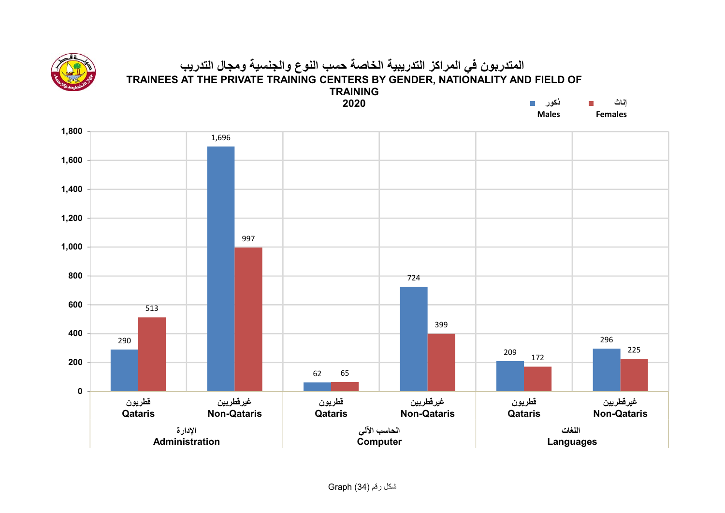

#### **المتدربون في المراكز التدريبية الخاصة حسب النوع والجنسية ومجال التدريب TRAINEES AT THE PRIVATE TRAINING CENTERS BY GENDER, NATIONALITY AND FIELD OF TRAININGذكور2020**

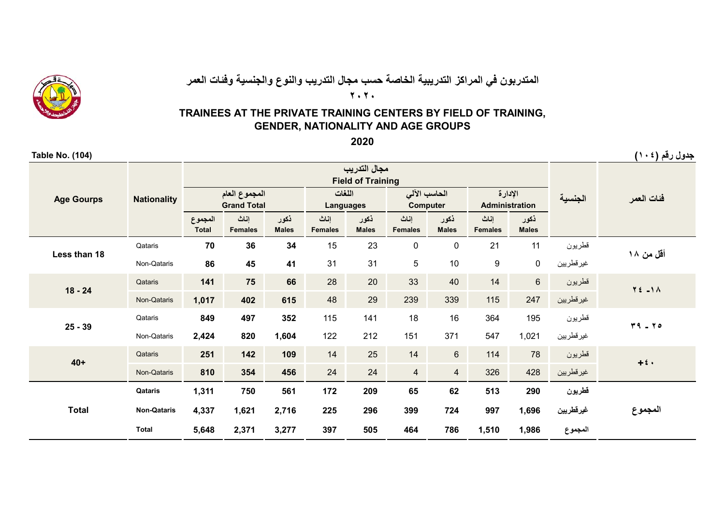

# **المتدربون في المراكز التدريبية الخاصة حسب مجال التدريب والنوع والجنسية وفئات العمر**

**٢٠٢٠**

## **TRAINEES AT THE PRIVATE TRAINING CENTERS BY FIELD OF TRAINING, GENDER, NATIONALITY AND AGE GROUPS**

**2020**

| <b>Table No. (104)</b> |                    |                         |                                     |                      |                            |                                          |                         |                      |                                  |                      |            | جدول رقم (١٠٤)     |
|------------------------|--------------------|-------------------------|-------------------------------------|----------------------|----------------------------|------------------------------------------|-------------------------|----------------------|----------------------------------|----------------------|------------|--------------------|
|                        |                    |                         |                                     |                      |                            | مجال التدريب<br><b>Field of Training</b> |                         |                      |                                  |                      |            |                    |
| <b>Age Gourps</b>      | <b>Nationality</b> |                         | المجموع العام<br><b>Grand Total</b> |                      | اللغات<br><b>Languages</b> |                                          | الحاسب الآلى            | <b>Computer</b>      | الإدارة<br><b>Administration</b> |                      | الجنسية    | فئات العمر         |
|                        |                    | المجموع<br><b>Total</b> | إناث<br><b>Females</b>              | ذكور<br><b>Males</b> | إناث<br><b>Females</b>     | نكور<br><b>Males</b>                     | إناث<br><b>Females</b>  | نكور<br><b>Males</b> | إناث<br><b>Females</b>           | ذكور<br><b>Males</b> |            |                    |
| Less than 18           | Qataris            | 70                      | 36                                  | 34                   | 15                         | 23                                       | $\mathbf 0$             | $\mathbf 0$          | 21                               | 11                   | قطريون     | أقل من ۱۸          |
|                        | Non-Qataris        | 86                      | 45                                  | 41                   | 31                         | 31                                       | 5                       | 10                   | $\boldsymbol{9}$                 | 0                    | غير قطريين |                    |
| $18 - 24$              | Qataris            | 141                     | 75                                  | 66                   | 28                         | 20                                       | 33                      | 40                   | 14                               | $6\phantom{a}$       | قطريون     | $Y \leq -1 \wedge$ |
|                        | Non-Qataris        | 1,017                   | 402                                 | 615                  | 48                         | 29                                       | 239                     | 339                  | 115                              | 247                  | غير قطريين |                    |
| $25 - 39$              | Qataris            | 849                     | 497                                 | 352                  | 115                        | 141                                      | 18                      | 16                   | 364                              | 195                  | قطريون     | $49 - 40$          |
|                        | Non-Qataris        | 2,424                   | 820                                 | 1,604                | 122                        | 212                                      | 151                     | 371                  | 547                              | 1,021                | غير قطريين |                    |
| $40+$                  | Qataris            | 251                     | 142                                 | 109                  | 14                         | 25                                       | 14                      | $6\phantom{1}$       | 114                              | 78                   | قطريون     | $+2$ .             |
|                        | Non-Qataris        | 810                     | 354                                 | 456                  | 24                         | 24                                       | $\overline{\mathbf{4}}$ | $\overline{4}$       | 326                              | 428                  | غير قطريين |                    |
|                        | Qataris            | 1,311                   | 750                                 | 561                  | 172                        | 209                                      | 65                      | 62                   | 513                              | 290                  | قطريون     |                    |
| <b>Total</b>           | <b>Non-Qataris</b> | 4,337                   | 1,621                               | 2,716                | 225                        | 296                                      | 399                     | 724                  | 997                              | 1,696                | غيرقطريين  | المجموع            |
|                        | <b>Total</b>       | 5,648                   | 2,371                               | 3,277                | 397                        | 505                                      | 464                     | 786                  | 1,510                            | 1,986                | المجموع    |                    |